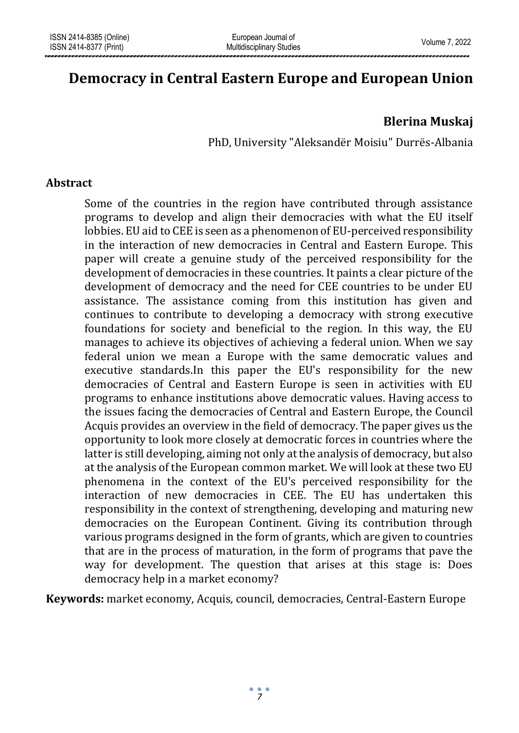# **Democracy in Central Eastern Europe and European Union**

## **Blerina Muskaj**

PhD, University "Aleksandër Moisiu" Durrës-Albania

#### **Abstract**

Some of the countries in the region have contributed through assistance programs to develop and align their democracies with what the EU itself lobbies. EU aid to CEE is seen as a phenomenon of EU-perceived responsibility in the interaction of new democracies in Central and Eastern Europe. This paper will create a genuine study of the perceived responsibility for the development of democracies in these countries. It paints a clear picture of the development of democracy and the need for CEE countries to be under EU assistance. The assistance coming from this institution has given and continues to contribute to developing a democracy with strong executive foundations for society and beneficial to the region. In this way, the EU manages to achieve its objectives of achieving a federal union. When we say federal union we mean a Europe with the same democratic values and executive standards.In this paper the EU's responsibility for the new democracies of Central and Eastern Europe is seen in activities with EU programs to enhance institutions above democratic values. Having access to the issues facing the democracies of Central and Eastern Europe, the Council Acquis provides an overview in the field of democracy. The paper gives us the opportunity to look more closely at democratic forces in countries where the latter is still developing, aiming not only at the analysis of democracy, but also at the analysis of the European common market. We will look at these two EU phenomena in the context of the EU's perceived responsibility for the interaction of new democracies in CEE. The EU has undertaken this responsibility in the context of strengthening, developing and maturing new democracies on the European Continent. Giving its contribution through various programs designed in the form of grants, which are given to countries that are in the process of maturation, in the form of programs that pave the way for development. The question that arises at this stage is: Does democracy help in a market economy?

**Keywords:** market economy, Acquis, council, democracies, Central-Eastern Europe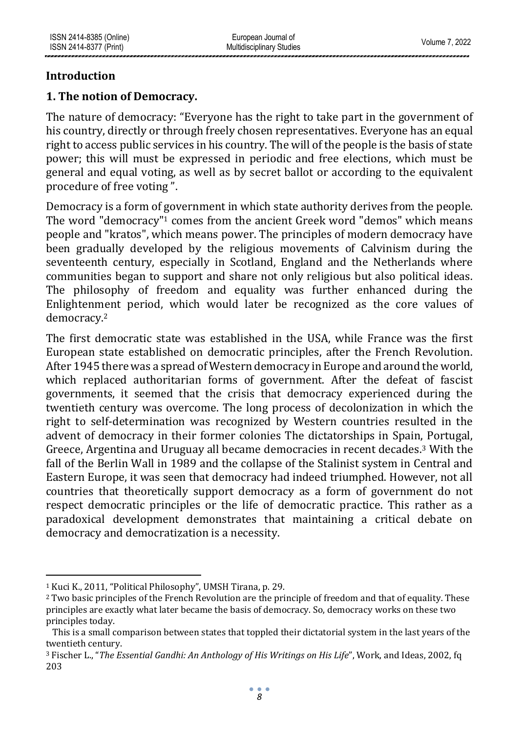## **Introduction**

## **1. The notion of Democracy.**

The nature of democracy: "Everyone has the right to take part in the government of his country, directly or through freely chosen representatives. Everyone has an equal right to access public services in his country. The will of the people is the basis of state power; this will must be expressed in periodic and free elections, which must be general and equal voting, as well as by secret ballot or according to the equivalent procedure of free voting ".

Democracy is a form of government in which state authority derives from the people. The word "democracy"<sup>1</sup> comes from the ancient Greek word "demos" which means people and "kratos", which means power. The principles of modern democracy have been gradually developed by the religious movements of Calvinism during the seventeenth century, especially in Scotland, England and the Netherlands where communities began to support and share not only religious but also political ideas. The philosophy of freedom and equality was further enhanced during the Enlightenment period, which would later be recognized as the core values of democracy.<sup>2</sup>

The first democratic state was established in the USA, while France was the first European state established on democratic principles, after the French Revolution. After 1945 there was a spread of Western democracy in Europe and around the world, which replaced authoritarian forms of government. After the defeat of fascist governments, it seemed that the crisis that democracy experienced during the twentieth century was overcome. The long process of decolonization in which the right to self-determination was recognized by Western countries resulted in the advent of democracy in their former colonies The dictatorships in Spain, Portugal, Greece, Argentina and Uruguay all became democracies in recent decades.<sup>3</sup> With the fall of the Berlin Wall in 1989 and the collapse of the Stalinist system in Central and Eastern Europe, it was seen that democracy had indeed triumphed. However, not all countries that theoretically support democracy as a form of government do not respect democratic principles or the life of democratic practice. This rather as a paradoxical development demonstrates that maintaining a critical debate on democracy and democratization is a necessity.

<sup>1</sup> Kuci K., 2011, "Political Philosophy", UMSH Tirana, p. 29.

<sup>2</sup> Two basic principles of the French Revolution are the principle of freedom and that of equality. These principles are exactly what later became the basis of democracy. So, democracy works on these two principles today.

This is a small comparison between states that toppled their dictatorial system in the last years of the twentieth century.

<sup>3</sup> Fischer L., "*The Essential Gandhi: An Anthology of His Writings on His Life*", Work, and Ideas, 2002, fq 203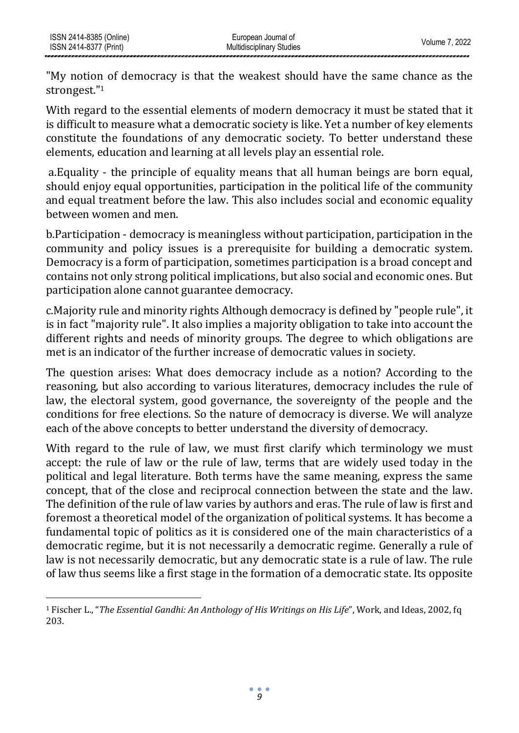"My notion of democracy is that the weakest should have the same chance as the strongest."<sup>1</sup>

With regard to the essential elements of modern democracy it must be stated that it is difficult to measure what a democratic society is like. Yet a number of key elements constitute the foundations of any democratic society. To better understand these elements, education and learning at all levels play an essential role.

a.Equality - the principle of equality means that all human beings are born equal, should enjoy equal opportunities, participation in the political life of the community and equal treatment before the law. This also includes social and economic equality between women and men.

b.Participation - democracy is meaningless without participation, participation in the community and policy issues is a prerequisite for building a democratic system. Democracy is a form of participation, sometimes participation is a broad concept and contains not only strong political implications, but also social and economic ones. But participation alone cannot guarantee democracy.

c.Majority rule and minority rights Although democracy is defined by "people rule", it is in fact "majority rule". It also implies a majority obligation to take into account the different rights and needs of minority groups. The degree to which obligations are met is an indicator of the further increase of democratic values in society.

The question arises: What does democracy include as a notion? According to the reasoning, but also according to various literatures, democracy includes the rule of law, the electoral system, good governance, the sovereignty of the people and the conditions for free elections. So the nature of democracy is diverse. We will analyze each of the above concepts to better understand the diversity of democracy.

With regard to the rule of law, we must first clarify which terminology we must accept: the rule of law or the rule of law, terms that are widely used today in the political and legal literature. Both terms have the same meaning, express the same concept, that of the close and reciprocal connection between the state and the law. The definition of the rule of law varies by authors and eras. The rule of law is first and foremost a theoretical model of the organization of political systems. It has become a fundamental topic of politics as it is considered one of the main characteristics of a democratic regime, but it is not necessarily a democratic regime. Generally a rule of law is not necessarily democratic, but any democratic state is a rule of law. The rule of law thus seems like a first stage in the formation of a democratic state. Its opposite

<sup>1</sup> Fischer L., "*The Essential Gandhi: An Anthology of His Writings on His Life*", Work, and Ideas, 2002, fq 203.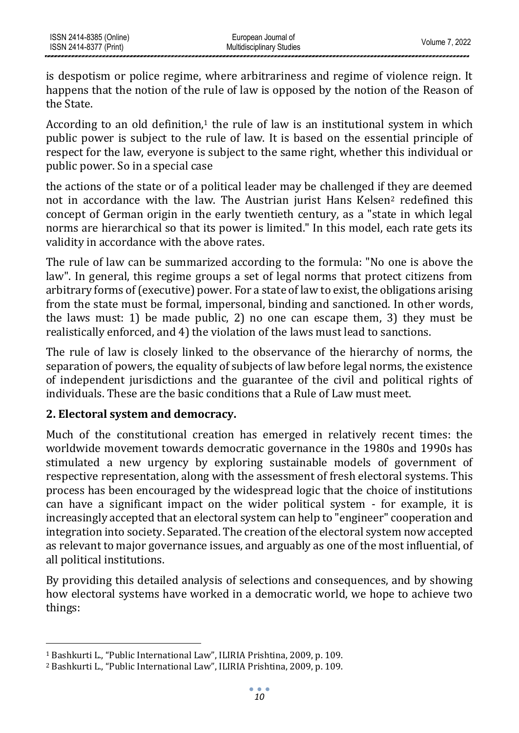is despotism or police regime, where arbitrariness and regime of violence reign. It happens that the notion of the rule of law is opposed by the notion of the Reason of the State.

According to an old definition, $1$  the rule of law is an institutional system in which public power is subject to the rule of law. It is based on the essential principle of respect for the law, everyone is subject to the same right, whether this individual or public power. So in a special case

the actions of the state or of a political leader may be challenged if they are deemed not in accordance with the law. The Austrian jurist Hans Kelsen<sup>2</sup> redefined this concept of German origin in the early twentieth century, as a "state in which legal norms are hierarchical so that its power is limited." In this model, each rate gets its validity in accordance with the above rates.

The rule of law can be summarized according to the formula: "No one is above the law". In general, this regime groups a set of legal norms that protect citizens from arbitrary forms of (executive) power. For a state of law to exist, the obligations arising from the state must be formal, impersonal, binding and sanctioned. In other words, the laws must: 1) be made public, 2) no one can escape them, 3) they must be realistically enforced, and 4) the violation of the laws must lead to sanctions.

The rule of law is closely linked to the observance of the hierarchy of norms, the separation of powers, the equality of subjects of law before legal norms, the existence of independent jurisdictions and the guarantee of the civil and political rights of individuals. These are the basic conditions that a Rule of Law must meet.

### **2. Electoral system and democracy.**

Much of the constitutional creation has emerged in relatively recent times: the worldwide movement towards democratic governance in the 1980s and 1990s has stimulated a new urgency by exploring sustainable models of government of respective representation, along with the assessment of fresh electoral systems. This process has been encouraged by the widespread logic that the choice of institutions can have a significant impact on the wider political system - for example, it is increasingly accepted that an electoral system can help to "engineer" cooperation and integration into society. Separated. The creation of the electoral system now accepted as relevant to major governance issues, and arguably as one of the most influential, of all political institutions.

By providing this detailed analysis of selections and consequences, and by showing how electoral systems have worked in a democratic world, we hope to achieve two things:

<sup>1</sup> Bashkurti L., "Public International Law", ILIRIA Prishtina, 2009, p. 109.

<sup>2</sup> Bashkurti L., "Public International Law", ILIRIA Prishtina, 2009, p. 109.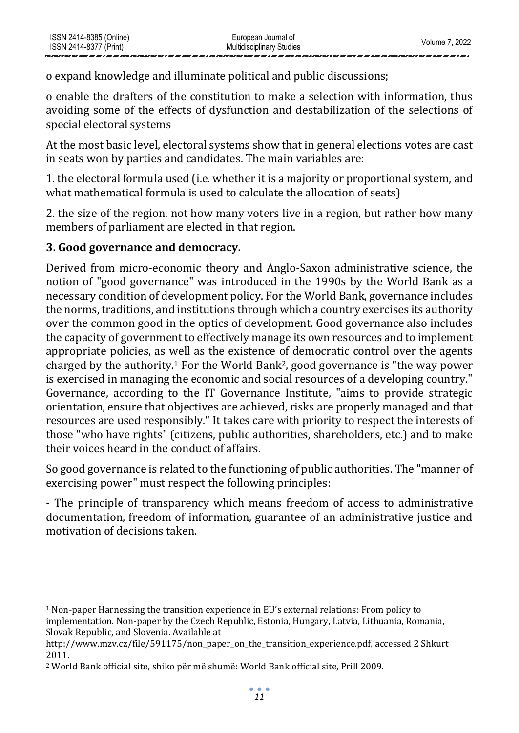o expand knowledge and illuminate political and public discussions;

o enable the drafters of the constitution to make a selection with information, thus avoiding some of the effects of dysfunction and destabilization of the selections of special electoral systems

At the most basic level, electoral systems show that in general elections votes are cast in seats won by parties and candidates. The main variables are:

1. the electoral formula used (i.e. whether it is a majority or proportional system, and what mathematical formula is used to calculate the allocation of seats)

2. the size of the region, not how many voters live in a region, but rather how many members of parliament are elected in that region.

## **3. Good governance and democracy.**

Derived from micro-economic theory and Anglo-Saxon administrative science, the notion of "good governance" was introduced in the 1990s by the World Bank as a necessary condition of development policy. For the World Bank, governance includes the norms, traditions, and institutions through which a country exercises its authority over the common good in the optics of development. Good governance also includes the capacity of government to effectively manage its own resources and to implement appropriate policies, as well as the existence of democratic control over the agents charged by the authority.<sup>1</sup> For the World Bank2, good governance is "the way power is exercised in managing the economic and social resources of a developing country." Governance, according to the IT Governance Institute, "aims to provide strategic orientation, ensure that objectives are achieved, risks are properly managed and that resources are used responsibly." It takes care with priority to respect the interests of those "who have rights" (citizens, public authorities, shareholders, etc.) and to make their voices heard in the conduct of affairs.

So good governance is related to the functioning of public authorities. The "manner of exercising power" must respect the following principles:

- The principle of transparency which means freedom of access to administrative documentation, freedom of information, guarantee of an administrative justice and motivation of decisions taken.

 $1$  Non-paper Harnessing the transition experience in EU's external relations: From policy to implementation. Non-paper by the Czech Republic, Estonia, Hungary, Latvia, Lithuania, Romania, Slovak Republic, and Slovenia. Available at

http://www.mzv.cz/file/591175/non\_paper\_on\_the\_transition\_experience.pdf, accessed 2 Shkurt 2011.

<sup>2</sup> World Bank official site, shiko për më shumë: World Bank official site, Prill 2009.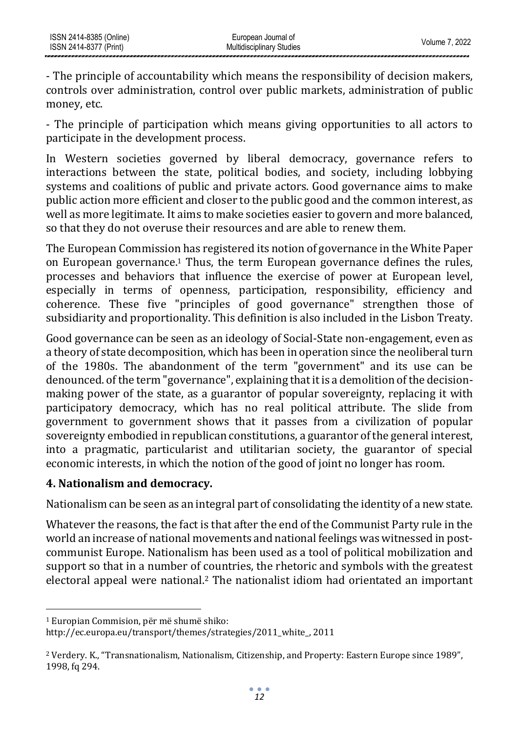- The principle of accountability which means the responsibility of decision makers, controls over administration, control over public markets, administration of public money, etc.

- The principle of participation which means giving opportunities to all actors to participate in the development process.

In Western societies governed by liberal democracy, governance refers to interactions between the state, political bodies, and society, including lobbying systems and coalitions of public and private actors. Good governance aims to make public action more efficient and closer to the public good and the common interest, as well as more legitimate. It aims to make societies easier to govern and more balanced, so that they do not overuse their resources and are able to renew them.

The European Commission has registered its notion of governance in the White Paper on European governance.<sup>1</sup> Thus, the term European governance defines the rules, processes and behaviors that influence the exercise of power at European level, especially in terms of openness, participation, responsibility, efficiency and coherence. These five "principles of good governance" strengthen those of subsidiarity and proportionality. This definition is also included in the Lisbon Treaty.

Good governance can be seen as an ideology of Social-State non-engagement, even as a theory of state decomposition, which has been in operation since the neoliberal turn of the 1980s. The abandonment of the term "government" and its use can be denounced. of the term "governance", explaining that it is a demolition of the decisionmaking power of the state, as a guarantor of popular sovereignty, replacing it with participatory democracy, which has no real political attribute. The slide from government to government shows that it passes from a civilization of popular sovereignty embodied in republican constitutions, a guarantor of the general interest, into a pragmatic, particularist and utilitarian society, the guarantor of special economic interests, in which the notion of the good of joint no longer has room.

## **4. Nationalism and democracy.**

Nationalism can be seen as an integral part of consolidating the identity of a new state.

Whatever the reasons, the fact is that after the end of the Communist Party rule in the world an increase of national movements and national feelings was witnessed in postcommunist Europe. Nationalism has been used as a tool of political mobilization and support so that in a number of countries, the rhetoric and symbols with the greatest electoral appeal were national.<sup>2</sup> The nationalist idiom had orientated an important

<sup>1</sup> Europian Commision, për më shumë shiko:

[http://ec.europa.eu/transport/themes/strategies/2011\\_white\\_,](http://ec.europa.eu/transport/themes/strategies/2011_white_) 2011

<sup>2</sup> Verdery. K., "Transnationalism, Nationalism, Citizenship, and Property: Eastern Europe since 1989", 1998, fq 294.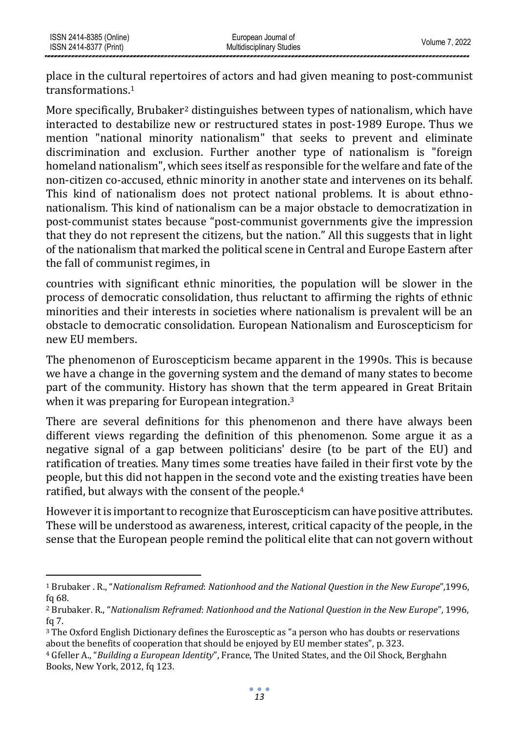ISSN 2414-8385 (Online) ISSN 2414-8377 (Print)

place in the cultural repertoires of actors and had given meaning to post-communist transformations.<sup>1</sup>

More specifically, Brubaker<sup>2</sup> distinguishes between types of nationalism, which have interacted to destabilize new or restructured states in post-1989 Europe. Thus we mention "national minority nationalism" that seeks to prevent and eliminate discrimination and exclusion. Further another type of nationalism is "foreign homeland nationalism", which sees itself as responsible for the welfare and fate of the non-citizen co-accused, ethnic minority in another state and intervenes on its behalf. This kind of nationalism does not protect national problems. It is about ethnonationalism. This kind of nationalism can be a major obstacle to democratization in post-communist states because "post-communist governments give the impression that they do not represent the citizens, but the nation." All this suggests that in light of the nationalism that marked the political scene in Central and Europe Eastern after the fall of communist regimes, in

countries with significant ethnic minorities, the population will be slower in the process of democratic consolidation, thus reluctant to affirming the rights of ethnic minorities and their interests in societies where nationalism is prevalent will be an obstacle to democratic consolidation. European Nationalism and Euroscepticism for new EU members.

The phenomenon of Euroscepticism became apparent in the 1990s. This is because we have a change in the governing system and the demand of many states to become part of the community. History has shown that the term appeared in Great Britain when it was preparing for European integration.<sup>3</sup>

There are several definitions for this phenomenon and there have always been different views regarding the definition of this phenomenon. Some argue it as a negative signal of a gap between politicians' desire (to be part of the EU) and ratification of treaties. Many times some treaties have failed in their first vote by the people, but this did not happen in the second vote and the existing treaties have been ratified, but always with the consent of the people.<sup>4</sup>

However it is important to recognize that Euroscepticism can have positive attributes. These will be understood as awareness, interest, critical capacity of the people, in the sense that the European people remind the political elite that can not govern without

<sup>1</sup> Brubaker . R., "*Nationalism Reframed*: *Nationhood and the National Question in the New Europe*",1996, fq 68.

<sup>2</sup> Brubaker. R., "*Nationalism Reframed*: *Nationhood and the National Question in the New Europe*", 1996, fq 7.

<sup>3</sup> The Oxford English Dictionary defines the Eurosceptic as "a person who has doubts or reservations about the benefits of cooperation that should be enjoyed by EU member states", p. 323.

<sup>4</sup> Gfeller A., "*Building a European Identity*", France, The United States, and the Oil Shock, Berghahn Books, New York, 2012, fq 123.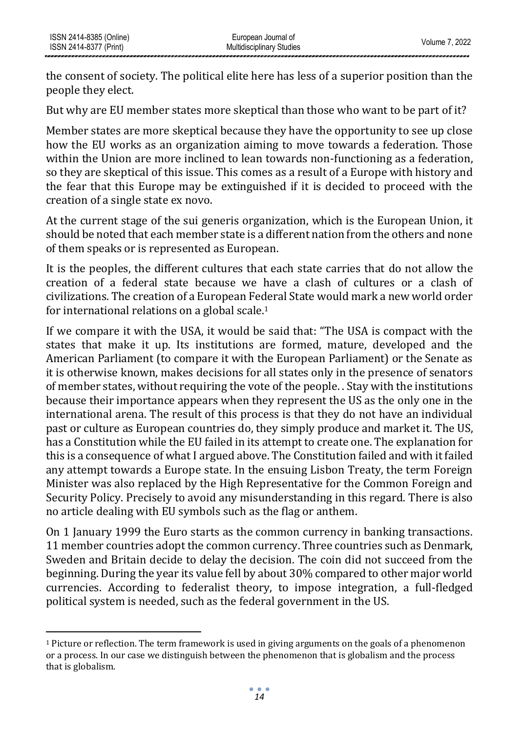the consent of society. The political elite here has less of a superior position than the people they elect.

But why are EU member states more skeptical than those who want to be part of it?

Member states are more skeptical because they have the opportunity to see up close how the EU works as an organization aiming to move towards a federation. Those within the Union are more inclined to lean towards non-functioning as a federation, so they are skeptical of this issue. This comes as a result of a Europe with history and the fear that this Europe may be extinguished if it is decided to proceed with the creation of a single state ex novo.

At the current stage of the sui generis organization, which is the European Union, it should be noted that each member state is a different nation from the others and none of them speaks or is represented as European.

It is the peoples, the different cultures that each state carries that do not allow the creation of a federal state because we have a clash of cultures or a clash of civilizations. The creation of a European Federal State would mark a new world order for international relations on a global scale.<sup>1</sup>

If we compare it with the USA, it would be said that: "The USA is compact with the states that make it up. Its institutions are formed, mature, developed and the American Parliament (to compare it with the European Parliament) or the Senate as it is otherwise known, makes decisions for all states only in the presence of senators of member states, without requiring the vote of the people. . Stay with the institutions because their importance appears when they represent the US as the only one in the international arena. The result of this process is that they do not have an individual past or culture as European countries do, they simply produce and market it. The US, has a Constitution while the EU failed in its attempt to create one. The explanation for this is a consequence of what I argued above. The Constitution failed and with it failed any attempt towards a Europe state. In the ensuing Lisbon Treaty, the term Foreign Minister was also replaced by the High Representative for the Common Foreign and Security Policy. Precisely to avoid any misunderstanding in this regard. There is also no article dealing with EU symbols such as the flag or anthem.

On 1 January 1999 the Euro starts as the common currency in banking transactions. 11 member countries adopt the common currency. Three countries such as Denmark, Sweden and Britain decide to delay the decision. The coin did not succeed from the beginning. During the year its value fell by about 30% compared to other major world currencies. According to federalist theory, to impose integration, a full-fledged political system is needed, such as the federal government in the US.

<sup>1</sup> Picture or reflection. The term framework is used in giving arguments on the goals of a phenomenon or a process. In our case we distinguish between the phenomenon that is globalism and the process that is globalism.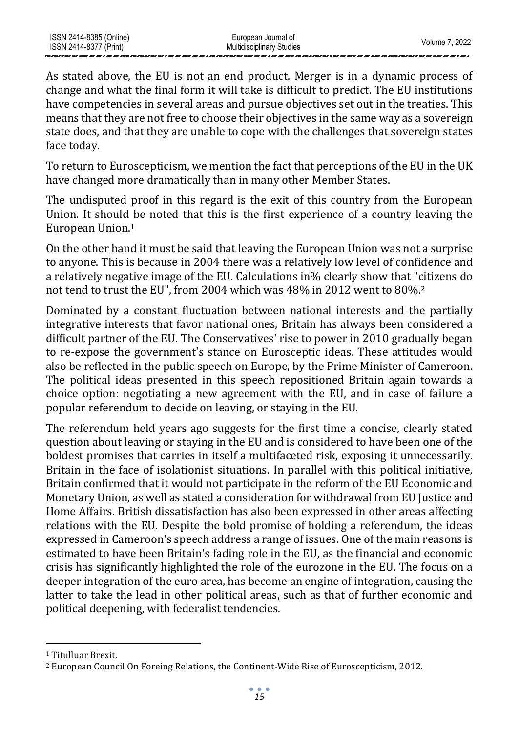As stated above, the EU is not an end product. Merger is in a dynamic process of change and what the final form it will take is difficult to predict. The EU institutions have competencies in several areas and pursue objectives set out in the treaties. This means that they are not free to choose their objectives in the same way as a sovereign state does, and that they are unable to cope with the challenges that sovereign states face today.

To return to Euroscepticism, we mention the fact that perceptions of the EU in the UK have changed more dramatically than in many other Member States.

The undisputed proof in this regard is the exit of this country from the European Union. It should be noted that this is the first experience of a country leaving the European Union.<sup>1</sup>

On the other hand it must be said that leaving the European Union was not a surprise to anyone. This is because in 2004 there was a relatively low level of confidence and a relatively negative image of the EU. Calculations in% clearly show that "citizens do not tend to trust the EU", from 2004 which was 48% in 2012 went to 80%.<sup>2</sup>

Dominated by a constant fluctuation between national interests and the partially integrative interests that favor national ones, Britain has always been considered a difficult partner of the EU. The Conservatives' rise to power in 2010 gradually began to re-expose the government's stance on Eurosceptic ideas. These attitudes would also be reflected in the public speech on Europe, by the Prime Minister of Cameroon. The political ideas presented in this speech repositioned Britain again towards a choice option: negotiating a new agreement with the EU, and in case of failure a popular referendum to decide on leaving, or staying in the EU.

The referendum held years ago suggests for the first time a concise, clearly stated question about leaving or staying in the EU and is considered to have been one of the boldest promises that carries in itself a multifaceted risk, exposing it unnecessarily. Britain in the face of isolationist situations. In parallel with this political initiative, Britain confirmed that it would not participate in the reform of the EU Economic and Monetary Union, as well as stated a consideration for withdrawal from EU Justice and Home Affairs. British dissatisfaction has also been expressed in other areas affecting relations with the EU. Despite the bold promise of holding a referendum, the ideas expressed in Cameroon's speech address a range of issues. One of the main reasons is estimated to have been Britain's fading role in the EU, as the financial and economic crisis has significantly highlighted the role of the eurozone in the EU. The focus on a deeper integration of the euro area, has become an engine of integration, causing the latter to take the lead in other political areas, such as that of further economic and political deepening, with federalist tendencies.

<sup>1</sup> Titulluar Brexit.

<sup>2</sup> European Council On Foreing Relations, the Continent-Wide Rise of Euroscepticism, 2012.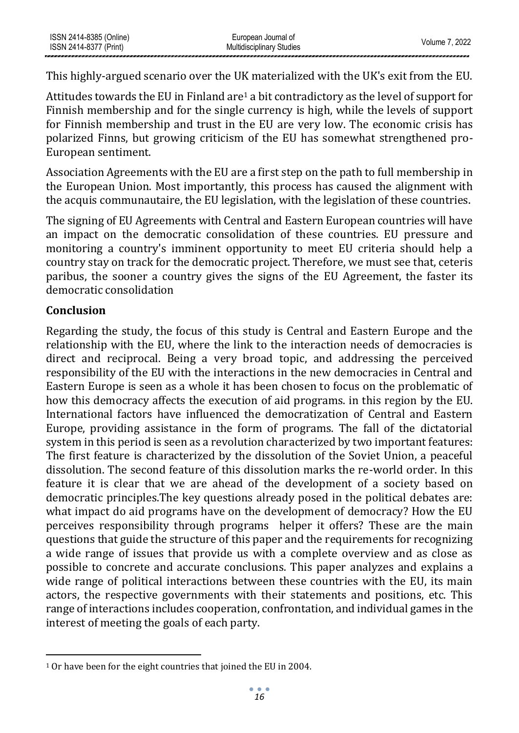This highly-argued scenario over the UK materialized with the UK's exit from the EU.

Attitudes towards the EU in Finland are<sup>1</sup> a bit contradictory as the level of support for Finnish membership and for the single currency is high, while the levels of support for Finnish membership and trust in the EU are very low. The economic crisis has polarized Finns, but growing criticism of the EU has somewhat strengthened pro-European sentiment.

Association Agreements with the EU are a first step on the path to full membership in the European Union. Most importantly, this process has caused the alignment with the acquis communautaire, the EU legislation, with the legislation of these countries.

The signing of EU Agreements with Central and Eastern European countries will have an impact on the democratic consolidation of these countries. EU pressure and monitoring a country's imminent opportunity to meet EU criteria should help a country stay on track for the democratic project. Therefore, we must see that, ceteris paribus, the sooner a country gives the signs of the EU Agreement, the faster its democratic consolidation

## **Conclusion**

Regarding the study, the focus of this study is Central and Eastern Europe and the relationship with the EU, where the link to the interaction needs of democracies is direct and reciprocal. Being a very broad topic, and addressing the perceived responsibility of the EU with the interactions in the new democracies in Central and Eastern Europe is seen as a whole it has been chosen to focus on the problematic of how this democracy affects the execution of aid programs. in this region by the EU. International factors have influenced the democratization of Central and Eastern Europe, providing assistance in the form of programs. The fall of the dictatorial system in this period is seen as a revolution characterized by two important features: The first feature is characterized by the dissolution of the Soviet Union, a peaceful dissolution. The second feature of this dissolution marks the re-world order. In this feature it is clear that we are ahead of the development of a society based on democratic principles.The key questions already posed in the political debates are: what impact do aid programs have on the development of democracy? How the EU perceives responsibility through programs helper it offers? These are the main questions that guide the structure of this paper and the requirements for recognizing a wide range of issues that provide us with a complete overview and as close as possible to concrete and accurate conclusions. This paper analyzes and explains a wide range of political interactions between these countries with the EU, its main actors, the respective governments with their statements and positions, etc. This range of interactions includes cooperation, confrontation, and individual games in the interest of meeting the goals of each party.

<sup>1</sup> Or have been for the eight countries that joined the EU in 2004.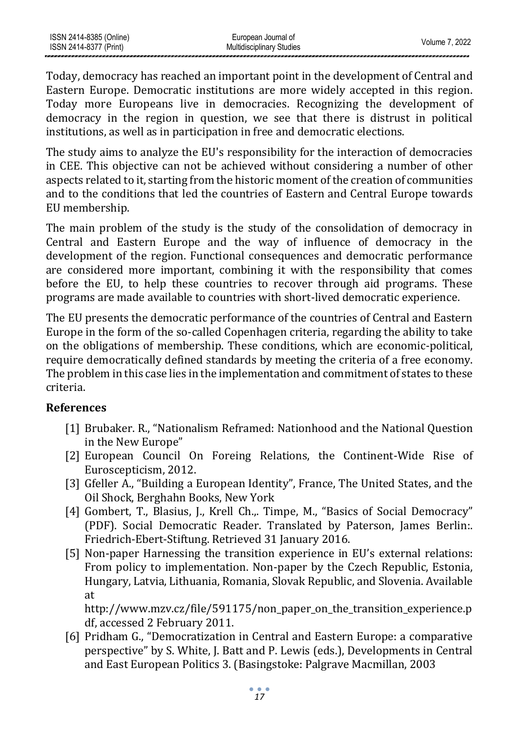Today, democracy has reached an important point in the development of Central and Eastern Europe. Democratic institutions are more widely accepted in this region. Today more Europeans live in democracies. Recognizing the development of democracy in the region in question, we see that there is distrust in political institutions, as well as in participation in free and democratic elections.

The study aims to analyze the EU's responsibility for the interaction of democracies in CEE. This objective can not be achieved without considering a number of other aspects related to it, starting from the historic moment of the creation of communities and to the conditions that led the countries of Eastern and Central Europe towards EU membership.

The main problem of the study is the study of the consolidation of democracy in Central and Eastern Europe and the way of influence of democracy in the development of the region. Functional consequences and democratic performance are considered more important, combining it with the responsibility that comes before the EU, to help these countries to recover through aid programs. These programs are made available to countries with short-lived democratic experience.

The EU presents the democratic performance of the countries of Central and Eastern Europe in the form of the so-called Copenhagen criteria, regarding the ability to take on the obligations of membership. These conditions, which are economic-political, require democratically defined standards by meeting the criteria of a free economy. The problem in this case lies in the implementation and commitment of states to these criteria.

### **References**

- [1] Brubaker. R., "Nationalism Reframed: Nationhood and the National Question in the New Europe"
- [2] European Council On Foreing Relations, the Continent-Wide Rise of Euroscepticism, 2012.
- [3] Gfeller A., "Building a European Identity", France, The United States, and the Oil Shock, Berghahn Books, New York
- [4] Gombert, T., Blasius, J., Krell Ch.,. Timpe, M., "Basics of Social Democracy" (PDF). Social Democratic Reader. Translated by Paterson, James Berlin:. Friedrich-Ebert-Stiftung. Retrieved 31 January 2016.
- [5] Non-paper Harnessing the transition experience in EU's external relations: From policy to implementation. Non-paper by the Czech Republic, Estonia, Hungary, Latvia, Lithuania, Romania, Slovak Republic, and Slovenia. Available at

http://www.mzv.cz/file/591175/non\_paper\_on\_the\_transition\_experience.p df, accessed 2 February 2011.

[6] Pridham G., "Democratization in Central and Eastern Europe: a comparative perspective" by S. White, J. Batt and P. Lewis (eds.), Developments in Central and East European Politics 3. (Basingstoke: Palgrave Macmillan, 2003